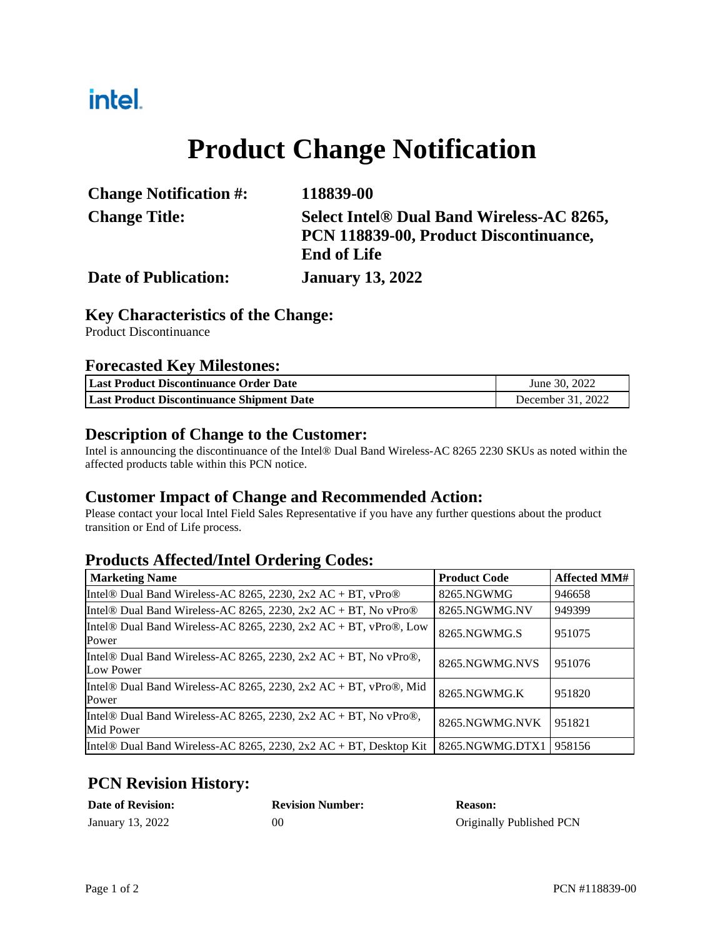## intel.

# **Product Change Notification**

| <b>Change Notification #:</b> | 118839-00                                 |
|-------------------------------|-------------------------------------------|
| <b>Change Title:</b>          | Select Intel® Dual Band Wireless-AC 8265, |
|                               | PCN 118839-00, Product Discontinuance,    |
|                               | <b>End of Life</b>                        |
| <b>Date of Publication:</b>   | <b>January 13, 2022</b>                   |

#### **Key Characteristics of the Change:**

Product Discontinuance

#### **Forecasted Key Milestones:**

| Last Product Discontinuance Order Date           | June 30, 2022     |  |
|--------------------------------------------------|-------------------|--|
| <b>Last Product Discontinuance Shipment Date</b> | December 31, 2022 |  |

#### **Description of Change to the Customer:**

Intel is announcing the discontinuance of the Intel® Dual Band Wireless-AC 8265 2230 SKUs as noted within the affected products table within this PCN notice.

### **Customer Impact of Change and Recommended Action:**

Please contact your local Intel Field Sales Representative if you have any further questions about the product transition or End of Life process.

### **Products Affected/Intel Ordering Codes:**

| <b>Marketing Name</b>                                                        | <b>Product Code</b> | <b>Affected MM#</b> |
|------------------------------------------------------------------------------|---------------------|---------------------|
| Intel® Dual Band Wireless-AC 8265, 2230, 2x2 AC + BT, vPro®                  | 8265.NGWMG          | 946658              |
| Intel® Dual Band Wireless-AC 8265, 2230, 2x2 AC + BT, No vPro®               | 8265.NGWMG.NV       | 949399              |
| Intel® Dual Band Wireless-AC 8265, 2230, 2x2 AC + BT, vPro®, Low<br>Power    | 8265.NGWMG.S        | 951075              |
| Intel® Dual Band Wireless-AC 8265, 2230, 2x2 AC + BT, No vPro®,<br>Low Power | 8265.NGWMG.NVS      | 951076              |
| Intel® Dual Band Wireless-AC 8265, 2230, 2x2 AC + BT, vPro®, Mid<br>Power    | 8265.NGWMG.K        | 951820              |
| Intel® Dual Band Wireless-AC 8265, 2230, 2x2 AC + BT, No vPro®,<br>Mid Power | 8265.NGWMG.NVK      | 951821              |
| Intel® Dual Band Wireless-AC 8265, 2230, 2x2 AC + BT, Desktop Kit            | 8265.NGWMG.DTX1     | 958156              |

## **PCN Revision History:**

| <b>Date of Revision:</b> | <b>Revision Number:</b> | <b>Reason:</b>           |
|--------------------------|-------------------------|--------------------------|
| January 13, 2022         | 0C                      | Originally Published PCN |